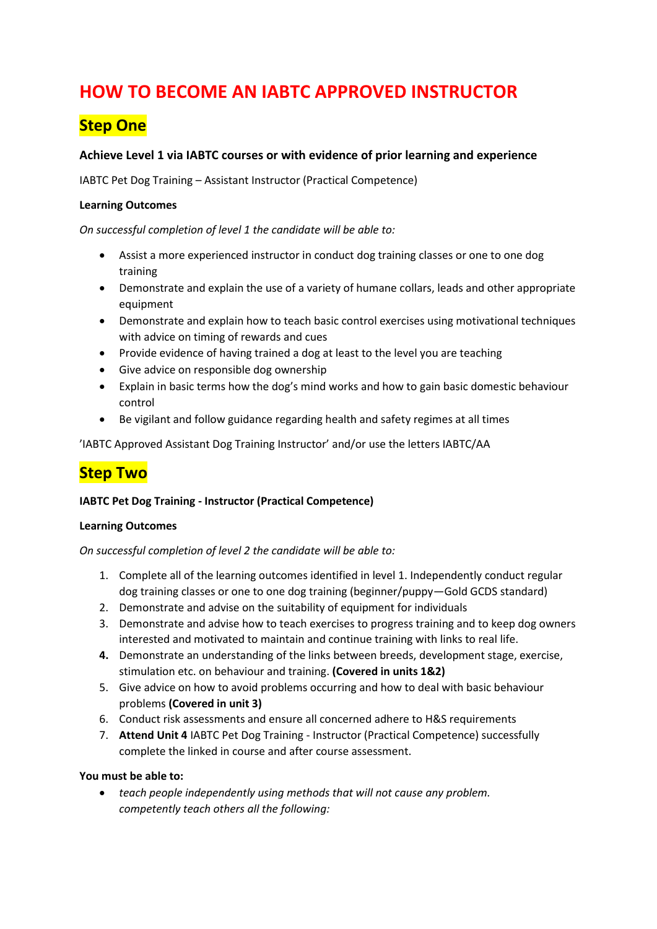# **HOW TO BECOME AN IABTC APPROVED INSTRUCTOR**

## **Step One**

### **Achieve Level 1 via IABTC courses or with evidence of prior learning and experience**

IABTC Pet Dog Training – Assistant Instructor (Practical Competence)

#### **Learning Outcomes**

*On successful completion of level 1 the candidate will be able to:* 

- Assist a more experienced instructor in conduct dog training classes or one to one dog training
- Demonstrate and explain the use of a variety of humane collars, leads and other appropriate equipment
- Demonstrate and explain how to teach basic control exercises using motivational techniques with advice on timing of rewards and cues
- Provide evidence of having trained a dog at least to the level you are teaching
- Give advice on responsible dog ownership
- Explain in basic terms how the dog's mind works and how to gain basic domestic behaviour control
- Be vigilant and follow guidance regarding health and safety regimes at all times

'IABTC Approved Assistant Dog Training Instructor' and/or use the letters IABTC/AA

### **Step Two**

#### **IABTC Pet Dog Training - Instructor (Practical Competence)**

#### **Learning Outcomes**

*On successful completion of level 2 the candidate will be able to:* 

- 1. Complete all of the learning outcomes identified in level 1. Independently conduct regular dog training classes or one to one dog training (beginner/puppy—Gold GCDS standard)
- 2. Demonstrate and advise on the suitability of equipment for individuals
- 3. Demonstrate and advise how to teach exercises to progress training and to keep dog owners interested and motivated to maintain and continue training with links to real life.
- **4.** Demonstrate an understanding of the links between breeds, development stage, exercise, stimulation etc. on behaviour and training. **(Covered in units 1&2)**
- 5. Give advice on how to avoid problems occurring and how to deal with basic behaviour problems **(Covered in unit 3)**
- 6. Conduct risk assessments and ensure all concerned adhere to H&S requirements
- 7. **Attend Unit 4** IABTC Pet Dog Training Instructor (Practical Competence) successfully complete the linked in course and after course assessment.

#### **You must be able to:**

• *teach people independently using methods that will not cause any problem. competently teach others all the following:*